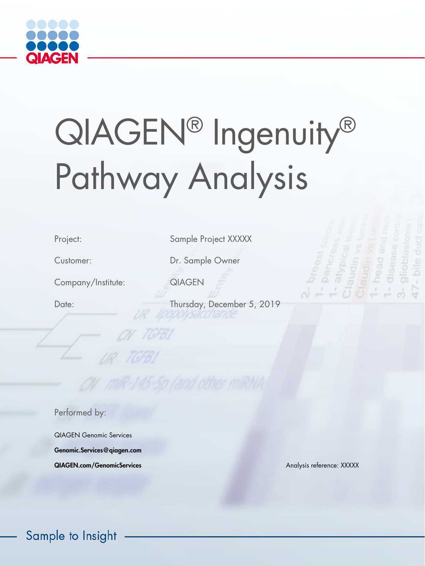

# QIAGEN® Ingenuity® Pathway Analysis

Company/Institute: QIAGEN

Project: Sample Project XXXXX

Customer: Dr. Sample Owner

**TGFB** 

Date: Thursday, December 5, 2019

Performed by:

QIAGEN Genomic Services Genomic.Services@qiagen.com **QIAGEN.com/GenomicServices** Analysis reference: XXXXX

Sample to Insight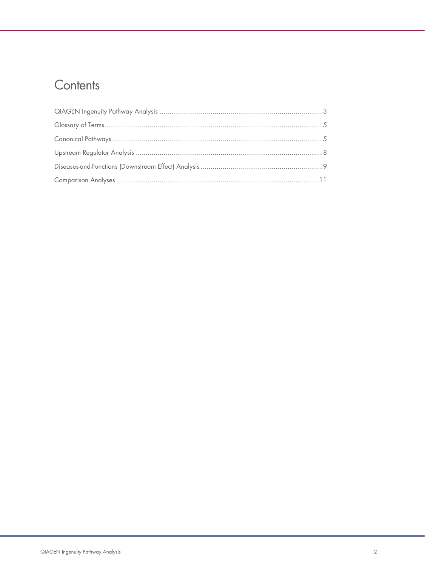# Contents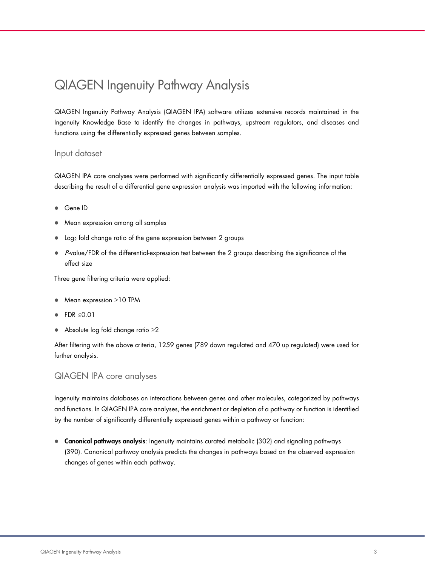# <span id="page-2-0"></span>QIAGEN Ingenuity Pathway Analysis

QIAGEN Ingenuity Pathway Analysis (QIAGEN IPA) software utilizes extensive records maintained in the Ingenuity Knowledge Base to identify the changes in pathways, upstream regulators, and diseases and functions using the differentially expressed genes between samples.

#### Input dataset

QIAGEN IPA core analyses were performed with significantly differentially expressed genes. The input table describing the result of a differential gene expression analysis was imported with the following information:

- Gene ID
- Mean expression among all samples
- Log2 fold change ratio of the gene expression between 2 groups
- $\bullet$  P-value/FDR of the differential-expression test between the 2 groups describing the significance of the effect size

Three gene filtering criteria were applied:

- Mean expression ≥10 TPM
- FDR ≤0.01
- Absolute log fold change ratio ≥2

After filtering with the above criteria, 1259 genes (789 down regulated and 470 up regulated) were used for further analysis.

#### QIAGEN IPA core analyses

Ingenuity maintains databases on interactions between genes and other molecules, categorized by pathways and functions. In QIAGEN IPA core analyses, the enrichment or depletion of a pathway or function is identified by the number of significantly differentially expressed genes within a pathway or function:

**Canonical pathways analysis:** Ingenuity maintains curated metabolic (302) and signaling pathways (390). Canonical pathway analysis predicts the changes in pathways based on the observed expression changes of genes within each pathway.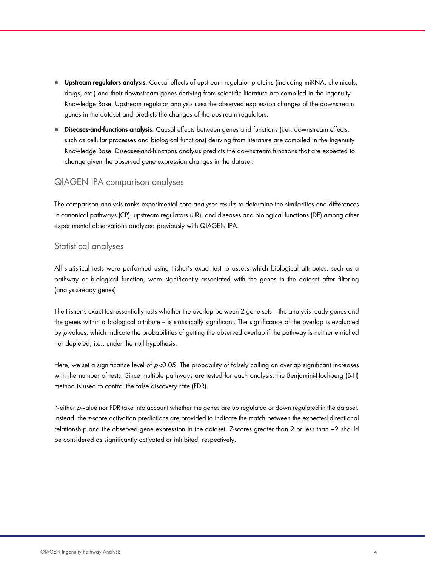- **Upstream regulators analysis:** Causal effects of upstream regulator proteins (including miRNA, chemicals, drugs, etc.) and their downstream genes deriving from scientific literature are compiled in the Ingenuity Knowledge Base. Upstream regulator analysis uses the observed expression changes of the downstream genes in the dataset and predicts the changes of the upstream regulators.
- Diseases-and-functions analysis: Causal effects between genes and functions (i.e., downstream effects, such as cellular processes and biological functions) deriving from literature are compiled in the Ingenuity Knowledge Base. Diseases-and-functions analysis predicts the downstream functions that are expected to change given the observed gene expression changes in the dataset.

### QIAGEN IPA comparison analyses

The comparison analysis ranks experimental core analyses results to determine the similarities and differences in canonical pathways (CP), upstream regulators (UR), and diseases and biological functions (DE) among other experimental observations analyzed previously with QIAGEN IPA.

#### Statistical analyses

All statistical tests were performed using Fisher's exact test to assess which biological attributes, such as a pathway or biological function, were significantly associated with the genes in the dataset after filtering (analysis-ready genes).

The Fisher's exact test essentially tests whether the overlap between 2 gene sets – the analysis-ready genes and the genes within a biological attribute – is statistically significant. The significance of the overlap is evaluated by  $p$ -values, which indicate the probabilities of getting the observed overlap if the pathway is neither enriched nor depleted, i.e., under the null hypothesis.

Here, we set a significance level of  $p<0.05$ . The probability of falsely calling an overlap significant increases with the number of tests. Since multiple pathways are tested for each analysis, the Benjamini-Hochberg (B-H) method is used to control the false discovery rate (FDR).

Neither p-value nor FDR take into account whether the genes are up regulated or down regulated in the dataset. Instead, the z-score activation predictions are provided to indicate the match between the expected directional relationship and the observed gene expression in the dataset. Z-scores greater than 2 or less than −2 should be considered as significantly activated or inhibited, respectively.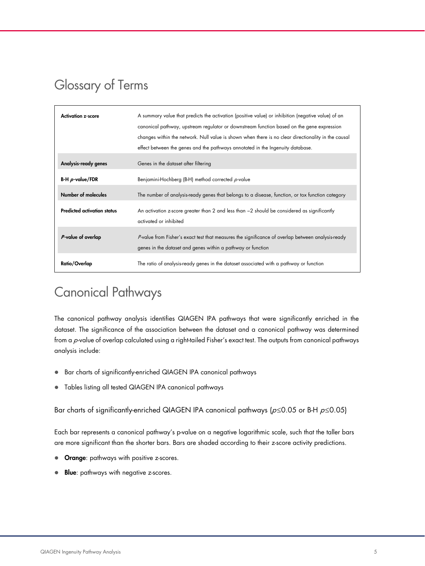# <span id="page-4-0"></span>Glossary of Terms

| <b>Activation z-score</b>          | A summary value that predicts the activation (positive value) or inhibition (negative value) of an<br>canonical pathway, upstream regulator or downstream function based on the gene expression<br>changes within the network. Null value is shown when there is no clear directionality in the causal<br>effect between the genes and the pathways annotated in the Ingenuity database. |
|------------------------------------|------------------------------------------------------------------------------------------------------------------------------------------------------------------------------------------------------------------------------------------------------------------------------------------------------------------------------------------------------------------------------------------|
| Analysis-ready genes               | Genes in the dataset after filtering                                                                                                                                                                                                                                                                                                                                                     |
| <b>B-H</b> $p$ -value/FDR          | Benjamini-Hochberg (B-H) method corrected p-value                                                                                                                                                                                                                                                                                                                                        |
| Number of molecules                | The number of analysis-ready genes that belongs to a disease, function, or tox function category                                                                                                                                                                                                                                                                                         |
| <b>Predicted activation status</b> | An activation z-score greater than 2 and less than -2 should be considered as significantly<br>activated or inhibited                                                                                                                                                                                                                                                                    |
| P-value of overlap                 | P-value from Fisher's exact test that measures the significance of overlap between analysis-ready<br>genes in the dataset and genes within a pathway or function                                                                                                                                                                                                                         |
| Ratio/Overlap                      | The ratio of analysis-ready genes in the dataset associated with a pathway or function                                                                                                                                                                                                                                                                                                   |

# <span id="page-4-1"></span>Canonical Pathways

The canonical pathway analysis identifies QIAGEN IPA pathways that were significantly enriched in the dataset. The significance of the association between the dataset and a canonical pathway was determined from a p-value of overlap calculated using a right-tailed Fisher's exact test. The outputs from canonical pathways analysis include:

- Bar charts of significantly-enriched QIAGEN IPA canonical pathways
- Tables listing all tested QIAGEN IPA canonical pathways

Bar charts of significantly-enriched QIAGEN IPA canonical pathways ( $p \le 0.05$  or B-H  $p \le 0.05$ )

Each bar represents a canonical pathway's p-value on a negative logarithmic scale, such that the taller bars are more significant than the shorter bars. Bars are shaded according to their z-score activity predictions.

- **Orange:** pathways with positive z-scores.
- **Blue**: pathways with negative z-scores.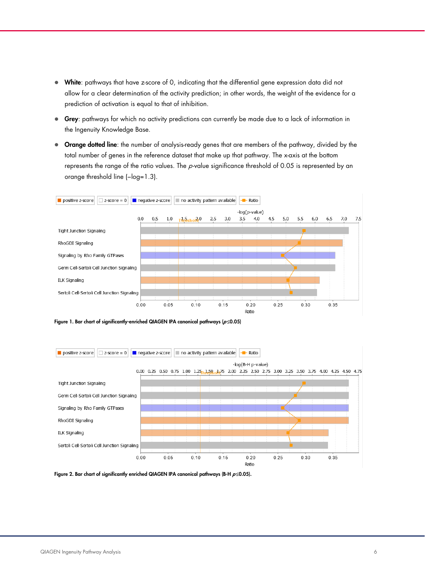- White: pathways that have z-score of 0, indicating that the differential gene expression data did not allow for a clear determination of the activity prediction; in other words, the weight of the evidence for a prediction of activation is equal to that of inhibition.
- Grey: pathways for which no activity predictions can currently be made due to a lack of information in the Ingenuity Knowledge Base.
- **Orange dotted line**: the number of analysis-ready genes that are members of the pathway, divided by the total number of genes in the reference dataset that make up that pathway. The x-axis at the bottom represents the range of the ratio values. The p-value significance threshold of 0.05 is represented by an orange threshold line (−log=1.3).



Figure 1. Bar chart of significantly-enriched QIAGEN IPA canonical pathways ( $p \le 0.05$ )



Figure 2. Bar chart of significantly enriched QIAGEN IPA canonical pathways (B-H  $p \le 0.05$ ).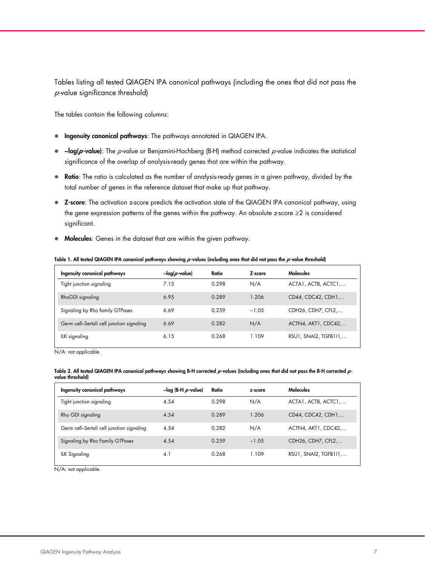Tables listing all tested QIAGEN IPA canonical pathways (including the ones that did not pass the p-value significance threshold)

The tables contain the following columns:

- **Ingenuity canonical pathways**: The pathways annotated in QIAGEN IPA.
- -log(p-value): The p-value or Benjamini-Hochberg (B-H) method corrected p-value indicates the statistical significance of the overlap of analysis-ready genes that are within the pathway.
- Ratio: The ratio is calculated as the number of analysis-ready genes in a given pathway, divided by the total number of genes in the reference dataset that make up that pathway.
- Z-score: The activation z-score predicts the activation state of the QIAGEN IPA canonical pathway, using the gene expression patterns of the genes within the pathway. An absolute z-score ≥2 is considered significant.
- Molecules: Genes in the dataset that are within the given pathway.

| Ingenuity canonical pathways              | $-log(p$ -value) | Ratio | Z-score | <b>Molecules</b>      |
|-------------------------------------------|------------------|-------|---------|-----------------------|
| Tight junction signaling                  | 7.15             | 0.298 | N/A     | ACTA1, ACTB, ACTC1,   |
| RhoGDI signaling                          | 6.95             | 0.289 | 1.206   | CD44, CDC42, CDH1,    |
| Signaling by Rho family GTPases           | 6.69             | 0.259 | $-1.05$ | CDH26, CDH7, CFL2,    |
| Germ cell-Sertoli cell junction signaling | 6.69             | 0.282 | N/A     | ACTN4, AKT1, CDC42,   |
| ILK signaling                             | 6.15             | 0.268 | 1.109   | RSU1, SNAI2, TGFB111, |

#### Table 1. All tested QIAGEN IPA canonical pathways showing  $p$ -values (including ones that did not pass the  $p$ -value threshold)

N/A: not applicable.

#### Table 2. All tested QIAGEN IPA canonical pathways showing B-H corrected  $p$ -values (including ones that did not pass the B-H corrected  $p$ value threshold)

| Ingenuity canonical pathways              | $-$ log (B-H $\rho$ -value) | Ratio | z-score | <b>Molecules</b>      |
|-------------------------------------------|-----------------------------|-------|---------|-----------------------|
| Tight junction signaling                  | 4.54                        | 0.298 | N/A     | ACTA1, ACTB, ACTC1,   |
| Rho GDI signaling                         | 4.54                        | 0.289 | 1.206   | CD44, CDC42, CDH1,    |
| Germ cell-Sertoli cell junction signaling | 4.54                        | 0.282 | N/A     | ACTN4, AKT1, CDC42    |
| Signaling by Rho Family GTPases           | 4.54                        | 0.259 | $-1.05$ | CDH26, CDH7, CFL2,    |
| <b>ILK Signaling</b>                      | 4.1                         | 0.268 | 1.109   | RSU1, SNAI2, TGFB111, |

N/A: not applicable.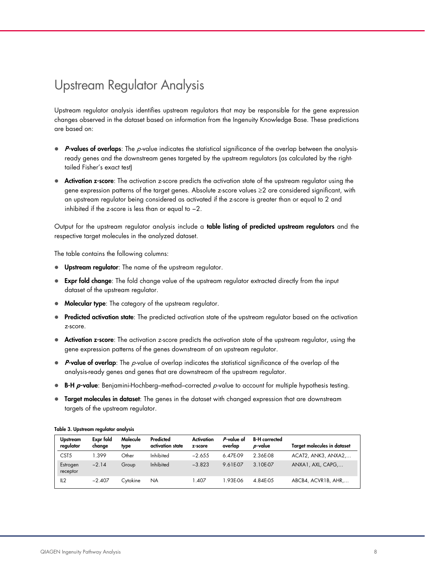# <span id="page-7-0"></span>Upstream Regulator Analysis

Upstream regulator analysis identifies upstream regulators that may be responsible for the gene expression changes observed in the dataset based on information from the Ingenuity Knowledge Base. These predictions are based on:

- $\bullet$  P-values of overlaps: The p-value indicates the statistical significance of the overlap between the analysisready genes and the downstream genes targeted by the upstream regulators (as calculated by the righttailed Fisher's exact test)
- Activation z-score: The activation z-score predicts the activation state of the upstream regulator using the gene expression patterns of the target genes. Absolute z-score values ≥2 are considered significant, with an upstream regulator being considered as activated if the z-score is greater than or equal to 2 and inhibited if the z-score is less than or equal to −2.

Output for the upstream regulator analysis include a **table listing of predicted upstream regulators** and the respective target molecules in the analyzed dataset.

The table contains the following columns:

- Upstream regulator: The name of the upstream regulator.
- Expr fold change: The fold change value of the upstream regulator extracted directly from the input dataset of the upstream regulator.
- Molecular type: The category of the upstream regulator.
- Predicted activation state: The predicted activation state of the upstream regulator based on the activation z-score.
- Activation z-score: The activation z-score predicts the activation state of the upstream regulator, using the gene expression patterns of the genes downstream of an upstream regulator.
- $\bullet$  P-value of overlap: The p-value of overlap indicates the statistical significance of the overlap of the analysis-ready genes and genes that are downstream of the upstream regulator.
- B-H  $p$ -value: Benjamini-Hochberg–method–corrected  $p$ -value to account for multiple hypothesis testing.
- **Target molecules in dataset:** The genes in the dataset with changed expression that are downstream targets of the upstream regulator.

| <b>Upstream</b><br>regulator | Expr fold<br>change | Molecule<br>type | Predicted<br>activation state | Activation<br>z-score | P-value of<br>overlap | <b>B-H</b> corrected<br><i>p</i> -value | <b>Target molecules in dataset</b> |
|------------------------------|---------------------|------------------|-------------------------------|-----------------------|-----------------------|-----------------------------------------|------------------------------------|
| CST <sub>5</sub>             | 1.399               | Other            | Inhibited                     | $-2.655$              | 6 47F-09              | 2 36F-08                                | ACAT2, ANK3, ANXA2                 |
| Estrogen<br>receptor         | $-2.14$             | Group            | Inhibited                     | $-3.823$              | 961F-07               | 3 10F-07                                | ANXA1, AXL, CAPG                   |
| IL2                          | $-2.407$            | Cytokine         | ΝA                            | .407                  | 93F-06                | 4 84F-05                                | ABCB4, ACVR1B, AHR                 |

#### Table 3. Upstream regulator analysis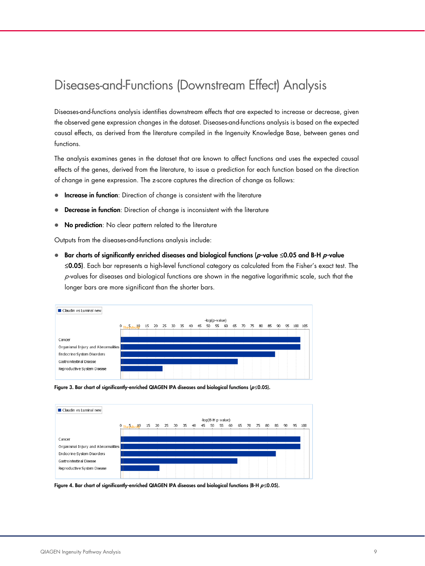# <span id="page-8-0"></span>Diseases-and-Functions (Downstream Effect) Analysis

Diseases-and-functions analysis identifies downstream effects that are expected to increase or decrease, given the observed gene expression changes in the dataset. Diseases-and-functions analysis is based on the expected causal effects, as derived from the literature compiled in the Ingenuity Knowledge Base, between genes and functions.

The analysis examines genes in the dataset that are known to affect functions and uses the expected causal effects of the genes, derived from the literature, to issue a prediction for each function based on the direction of change in gene expression. The z-score captures the direction of change as follows:

- **Increase in function**: Direction of change is consistent with the literature
- Decrease in function: Direction of change is inconsistent with the literature
- No prediction: No clear pattern related to the literature

Outputs from the diseases-and-functions analysis include:

 $■$  Bar charts of significantly enriched diseases and biological functions ( $p$ -value ≤0.05 and B-H  $p$ -value ≤0.05). Each bar represents a high-level functional category as calculated from the Fisher's exact test. The  $p$ -values for diseases and biological functions are shown in the negative logarithmic scale, such that the longer bars are more significant than the shorter bars.







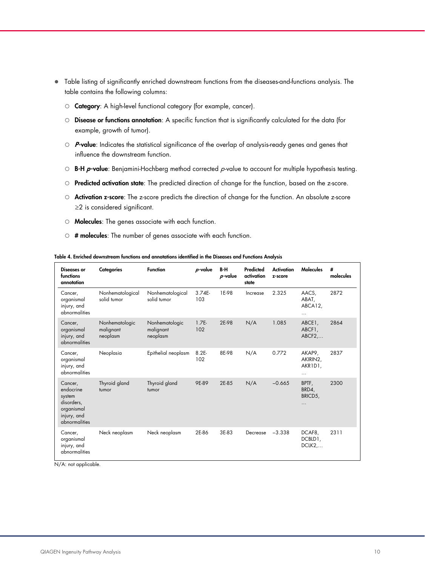- Table listing of significantly enriched downstream functions from the diseases-and-functions analysis. The table contains the following columns:
	- O Category: A high-level functional category (for example, cancer).
	- $\circ$  **Disease or functions annotation**: A specific function that is significantly calculated for the data (for example, growth of tumor).
	- $\circ$  **P-value**: Indicates the statistical significance of the overlap of analysis-ready genes and genes that influence the downstream function.
	- $\circ$  B-H p-value: Benjamini-Hochberg method corrected p-value to account for multiple hypothesis testing.
	- O Predicted activation state: The predicted direction of change for the function, based on the z-score.
	- O **Activation z-score**: The z-score predicts the direction of change for the function. An absolute z-score ≥2 is considered significant.
	- $\circ$  **Molecules**: The genes associate with each function.
	- $\circ$  # molecules: The number of genes associate with each function.

Diseases or functions annotation Categories Function  $p$ -value B-H  $\rho$ -value Predicted activation state **Activation** z-score Molecules # molecules Cancer, organismal injury, and abnormalities Nonhematological solid tumor Nonhematological solid tumor 3.74E-103 1E-98 Increase 2.325 AACS, ABAT, ABCA12, … 2872 Cancer, organismal injury, and abnormalities Nonhematologic malignant neoplasm Nonhematologic malignant neoplasm 1.7E-102 2E-98 N/A 1.085 ABCE1, ABCF1, ABCF2,… 2864 Cancer, organismal injury, and abnormalities Neoplasia Epithelial neoplasm 8.2E-102 8E-98 N/A 0.772 AKAP9, AKIRIN2, AKR1D1, … 2837 Cancer, endocrine system disorders, organismal injury, and abnormalities Thyroid gland tumor Thyroid gland tumor 9E-89 2E-85 N/A −0.665 BPTF, BRD4, BRICD5, … 2300 Cancer, organismal injury, and abnormalities Neck neoplasm Neck neoplasm 2E-86 3E-83 Decrease −3.338 DCAF8, DCBLD1, DCLK2,… 2311

Table 4. Enriched downstream functions and annotations identified in the Diseases and Functions Analysis

N/A: not applicable.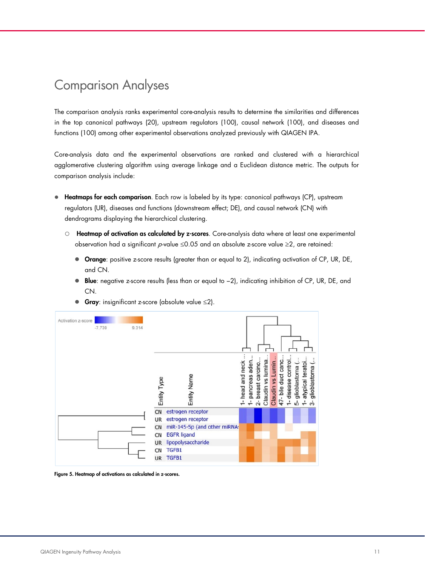## <span id="page-10-0"></span>Comparison Analyses

The comparison analysis ranks experimental core-analysis results to determine the similarities and differences in the top canonical pathways (20), upstream regulators (100), causal network (100), and diseases and functions (100) among other experimental observations analyzed previously with QIAGEN IPA.

Core-analysis data and the experimental observations are ranked and clustered with a hierarchical agglomerative clustering algorithm using average linkage and a Euclidean distance metric. The outputs for comparison analysis include:

- **Heatmaps for each comparison**. Each row is labeled by its type: canonical pathways (CP), upstream regulators (UR), diseases and functions (downstream effect; DE), and causal network (CN) with dendrograms displaying the hierarchical clustering.
	- O Heatmap of activation as calculated by z-scores. Core-analysis data where at least one experimental observation had a significant  $p$ -value  $\leq 0.05$  and an absolute z-score value  $\geq 2$ , are retained:
		- Orange: positive z-score results (greater than or equal to 2), indicating activation of CP, UR, DE, and CN.
		- Blue: negative z-score results (less than or equal to -2), indicating inhibition of CP, UR, DE, and CN.



Gray: insignificant z-score (absolute value  $\leq$ 2).

Figure 5. Heatmap of activations as calculated in z-scores.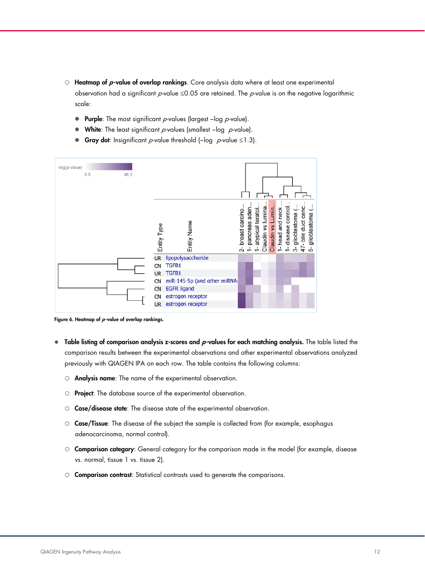- $\circ$  Heatmap of p-value of overlap rankings. Core analysis data where at least one experimental observation had a significant  $\rho$ -value  $\leq$ 0.05 are retained. The  $\rho$ -value is on the negative logarithmic scale:
	- $\bullet$  Purple: The most significant p-values (largest -log p-value).
	- $\bullet$  White: The least significant p-values (smallest -log p-value).
	- Gray dot: Insignificant  $p$ -value threshold (-log  $p$ -value ≤1.3).

| -log(p-value)<br>0.5 | 48.3 |             |                              |                           |                            |                     |                       |                   |                  |                               |                                           |                    |
|----------------------|------|-------------|------------------------------|---------------------------|----------------------------|---------------------|-----------------------|-------------------|------------------|-------------------------------|-------------------------------------------|--------------------|
|                      |      | Entity Type | Entity Name                  | breast carcino.<br>$\sim$ | aden<br>pancreas<br>$\div$ | teratoi<br>atypical | lumina.<br>Claudin vs | Claudin vs Lumin. | 1- head and neck | control.<br>disease<br>$\div$ | 47- bile duct canc.<br>glioblastoma<br>က် | glioblastoma<br>ယ် |
|                      |      | <b>UR</b>   | lipopolysaccharide           |                           |                            |                     |                       |                   |                  |                               |                                           |                    |
|                      |      | <b>CN</b>   | TGFB1                        |                           |                            |                     |                       |                   |                  |                               |                                           |                    |
|                      |      | <b>UR</b>   | TGFB1                        |                           |                            |                     |                       |                   |                  |                               |                                           |                    |
|                      |      | CN          | miR-145-5p (and other miRNA: |                           |                            |                     |                       |                   |                  |                               |                                           |                    |
|                      |      | <b>CN</b>   | <b>EGFR ligand</b>           |                           |                            |                     |                       |                   |                  |                               |                                           |                    |
|                      |      | CN          | estrogen receptor            |                           |                            |                     |                       |                   |                  |                               |                                           |                    |
|                      |      | <b>UR</b>   | estrogen receptor            |                           |                            |                     |                       |                   |                  |                               |                                           |                    |

Figure 6. Heatmap of  $p$ -value of overlap rankings.

- $\bullet$  Table listing of comparison analysis z-scores and p-values for each matching analysis. The table listed the comparison results between the experimental observations and other experimental observations analyzed previously with QIAGEN IPA on each row. The table contains the following columns:
	- Analysis name: The name of the experimental observation.
	- O Project: The database source of the experimental observation.
	- Case/disease state: The disease state of the experimental observation.
	- Case/Tissue: The disease of the subject the sample is collected from (for example, esophagus adenocarcinoma, normal control).
	- O Comparison category: General category for the comparison made in the model (for example, disease vs. normal, tissue 1 vs. tissue 2).
	- Comparison contrast: Statistical contrasts used to generate the comparisons.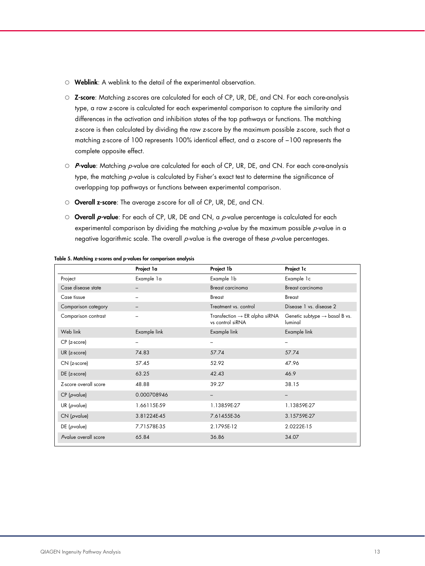- Weblink: A weblink to the detail of the experimental observation.
- $\circ$  Z-score: Matching z-scores are calculated for each of CP, UR, DE, and CN. For each core-analysis type, a raw z-score is calculated for each experimental comparison to capture the similarity and differences in the activation and inhibition states of the top pathways or functions. The matching z-score is then calculated by dividing the raw z-score by the maximum possible z-score, such that a matching z-score of 100 represents 100% identical effect, and a z-score of −100 represents the complete opposite effect.
- $\circ$  P-value: Matching p-value are calculated for each of CP, UR, DE, and CN. For each core-analysis type, the matching p-value is calculated by Fisher's exact test to determine the significance of overlapping top pathways or functions between experimental comparison.
- Overall z-score: The average z-score for all of CP, UR, DE, and CN.
- $\circ$  Overall p-value: For each of CP, UR, DE and CN, a p-value percentage is calculated for each experimental comparison by dividing the matching  $p$ -value by the maximum possible  $p$ -value in a negative logarithmic scale. The overall  $p$ -value is the average of these  $p$ -value percentages.

|                         | Project la   | Project 1b                                                    | Project 1c                                           |
|-------------------------|--------------|---------------------------------------------------------------|------------------------------------------------------|
| Project                 | Example 1a   | Example 1b                                                    | Example 1c                                           |
| Case disease state      |              | <b>Breast carcinoma</b>                                       | Breast carcinoma                                     |
| Case tissue             |              | <b>Breast</b>                                                 | <b>Breast</b>                                        |
| Comparison category     |              | Treatment vs. control                                         | Disease 1 vs. disease 2                              |
| Comparison contrast     |              | Transfection $\rightarrow$ ER alpha siRNA<br>vs control siRNA | Genetic subtype $\rightarrow$ basal B vs.<br>luminal |
| Web link                | Example link | Example link                                                  | Example link                                         |
| CP (z-score)            |              | -                                                             | -                                                    |
| $UR$ (z-score)          | 74.83        | 57.74                                                         | 57.74                                                |
| CN (z-score)            | 57.45        | 52.92                                                         | 47.96                                                |
| $DE$ (z-score)          | 63.25        | 42.43                                                         | 46.9                                                 |
| Z-score overall score   | 48.88        | 39.27                                                         | 38.15                                                |
| $CP$ ( <i>p</i> -value) | 0.000708946  | -                                                             | $\qquad \qquad -$                                    |
| UR ( $\rho$ -value)     | 1.66115E-59  | 1.13859E-27                                                   | 1.13859E-27                                          |
| $CN$ ( <i>p</i> -value) | 3.81224E-45  | 7.61455E-36                                                   | 3.15759E-27                                          |
| $DE$ ( <i>p</i> -value) | 7.71578E-35  | 2.1795E-12                                                    | 2.0222E-15                                           |
| Pvalue overall score    | 65.84        | 36.86                                                         | 34.07                                                |

#### Table 5. Matching z-scores and p-values for comparison analysis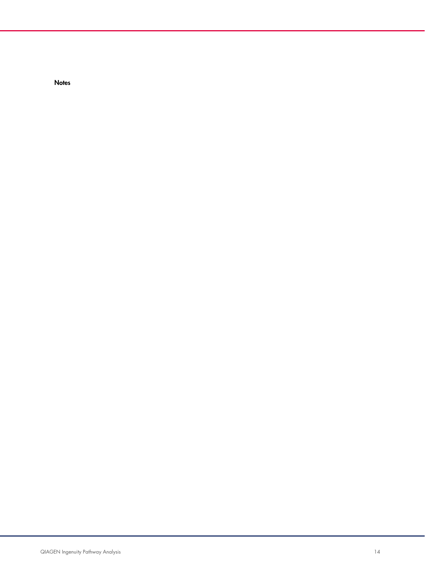**Notes**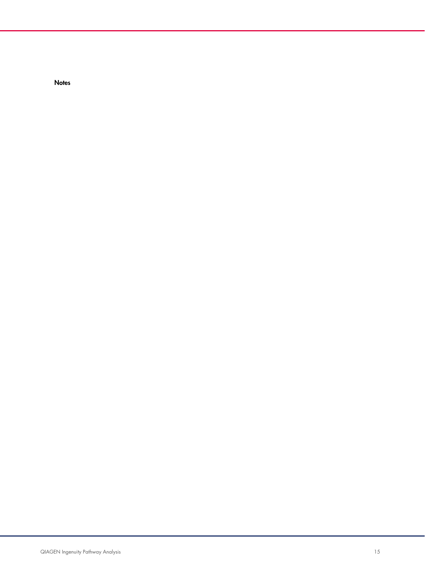**Notes**